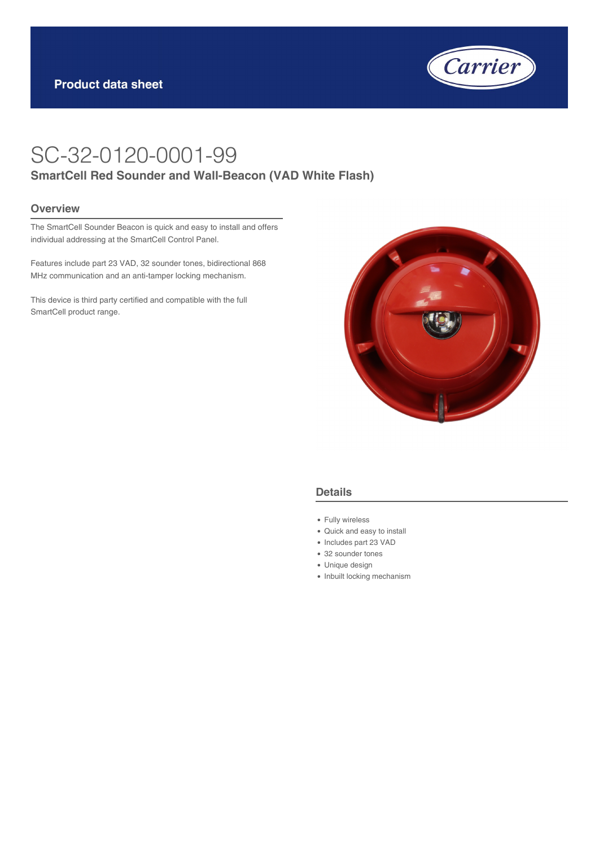

# SC-32-0120-0001-99 **SmartCell Red Sounder and Wall-Beacon (VAD White Flash)**

#### **Overview**

The SmartCell Sounder Beacon is quick and easy to install and offers individual addressing at the SmartCell Control Panel.

Features include part 23 VAD, 32 sounder tones, bidirectional 868 MHz communication and an anti-tamper locking mechanism.

This device is third party certified and compatible with the full SmartCell product range.



#### **Details**

- Fully wireless
- Quick and easy to install
- Includes part 23 VAD
- 32 sounder tones
- Unique design
- Inbuilt locking mechanism